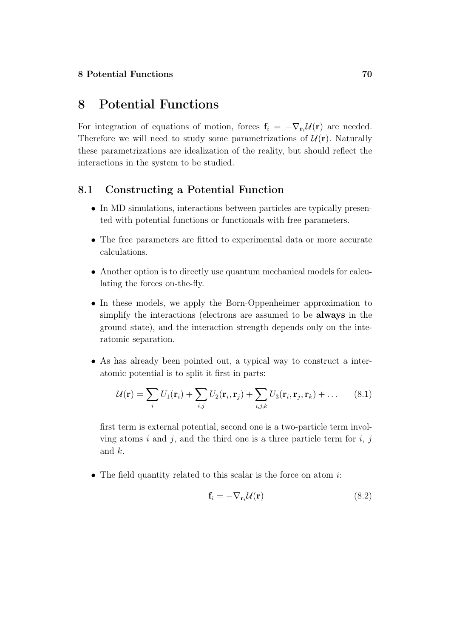# 8 Potential Functions

For integration of equations of motion, forces  $f_i = -\nabla_{r_i} \mathcal{U}(r)$  are needed. Therefore we will need to study some parametrizations of  $\mathcal{U}(\mathbf{r})$ . Naturally these parametrizations are idealization of the reality, but should reflect the interactions in the system to be studied.

# 8.1 Constructing a Potential Function

- In MD simulations, interactions between particles are typically presented with potential functions or functionals with free parameters.
- The free parameters are fitted to experimental data or more accurate calculations.
- Another option is to directly use quantum mechanical models for calculating the forces on-the-fly.
- In these models, we apply the Born-Oppenheimer approximation to simplify the interactions (electrons are assumed to be always in the ground state), and the interaction strength depends only on the interatomic separation.
- As has already been pointed out, a typical way to construct a interatomic potential is to split it first in parts:

$$
\mathcal{U}(\mathbf{r}) = \sum_{i} U_1(\mathbf{r}_i) + \sum_{i,j} U_2(\mathbf{r}_i, \mathbf{r}_j) + \sum_{i,j,k} U_3(\mathbf{r}_i, \mathbf{r}_j, \mathbf{r}_k) + \dots
$$
 (8.1)

first term is external potential, second one is a two-particle term involving atoms i and j, and the third one is a three particle term for i, j and k.

• The field quantity related to this scalar is the force on atom  $i$ :

$$
\mathbf{f}_i = -\nabla_{\mathbf{r}_i} \mathcal{U}(\mathbf{r}) \tag{8.2}
$$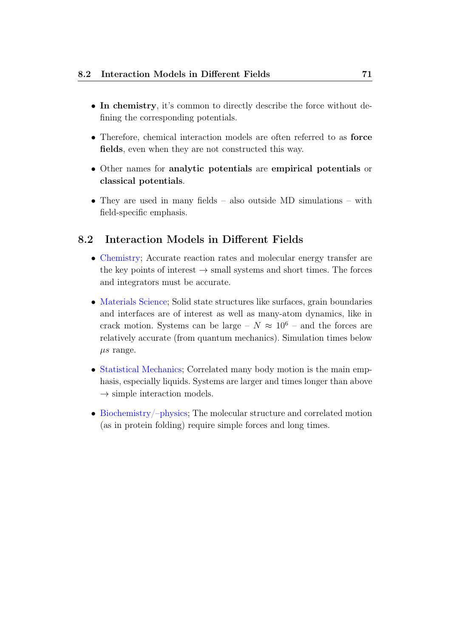- In chemistry, it's common to directly describe the force without defining the corresponding potentials.
- Therefore, chemical interaction models are often referred to as force fields, even when they are not constructed this way.
- Other names for analytic potentials are empirical potentials or classical potentials.
- They are used in many fields also outside MD simulations with field-specific emphasis.

# 8.2 Interaction Models in Different Fields

- Chemistry; Accurate reaction rates and molecular energy transfer are the key points of interest  $\rightarrow$  small systems and short times. The forces and integrators must be accurate.
- Materials Science; Solid state structures like surfaces, grain boundaries and interfaces are of interest as well as many-atom dynamics, like in crack motion. Systems can be large –  $N \approx 10^6$  – and the forces are relatively accurate (from quantum mechanics). Simulation times below  $\mu s$  range.
- Statistical Mechanics; Correlated many body motion is the main emphasis, especially liquids. Systems are larger and times longer than above  $\rightarrow$  simple interaction models.
- Biochemistry/–physics; The molecular structure and correlated motion (as in protein folding) require simple forces and long times.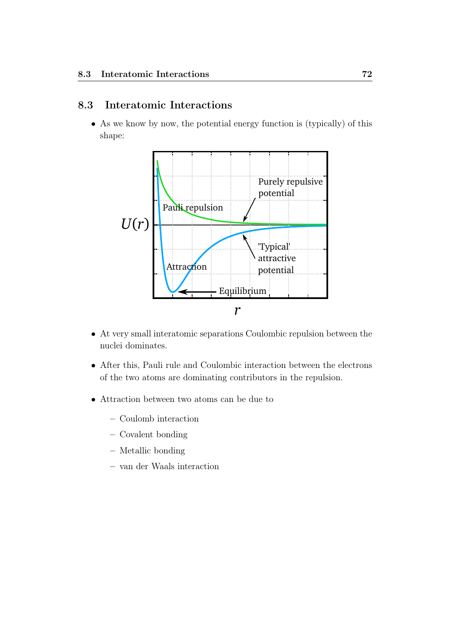# 8.3 Interatomic Interactions

• As we know by now, the potential energy function is (typically) of this shape:



- At very small interatomic separations Coulombic repulsion between the nuclei dominates.
- After this, Pauli rule and Coulombic interaction between the electrons of the two atoms are dominating contributors in the repulsion.
- Attraction between two atoms can be due to
	- Coulomb interaction
	- Covalent bonding
	- Metallic bonding
	- van der Waals interaction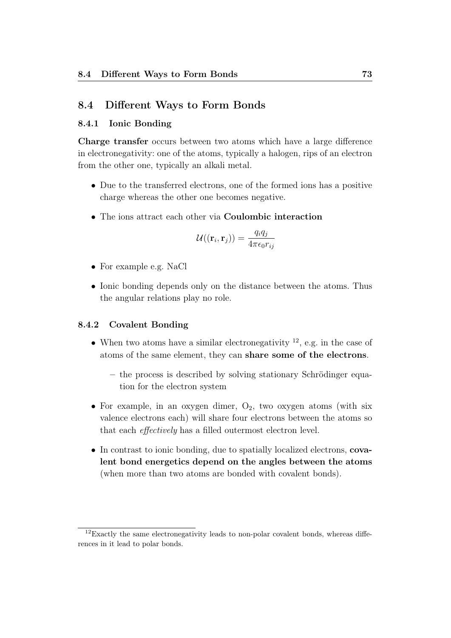## 8.4 Different Ways to Form Bonds

### 8.4.1 Ionic Bonding

Charge transfer occurs between two atoms which have a large difference in electronegativity: one of the atoms, typically a halogen, rips of an electron from the other one, typically an alkali metal.

- Due to the transferred electrons, one of the formed ions has a positive charge whereas the other one becomes negative.
- The ions attract each other via Coulombic interaction

$$
\mathcal{U}((\mathbf{r}_i, \mathbf{r}_j)) = \frac{q_i q_j}{4\pi\epsilon_0 r_{ij}}
$$

- For example e.g. NaCl
- Ionic bonding depends only on the distance between the atoms. Thus the angular relations play no role.

#### 8.4.2 Covalent Bonding

- When two atoms have a similar electronegativity  $^{12}$ , e.g. in the case of atoms of the same element, they can share some of the electrons.
	- the process is described by solving stationary Schrödinger equation for the electron system
- For example, in an oxygen dimer,  $O_2$ , two oxygen atoms (with six valence electrons each) will share four electrons between the atoms so that each effectively has a filled outermost electron level.
- In contrast to ionic bonding, due to spatially localized electrons, covalent bond energetics depend on the angles between the atoms (when more than two atoms are bonded with covalent bonds).

 $12$ Exactly the same electronegativity leads to non-polar covalent bonds, whereas differences in it lead to polar bonds.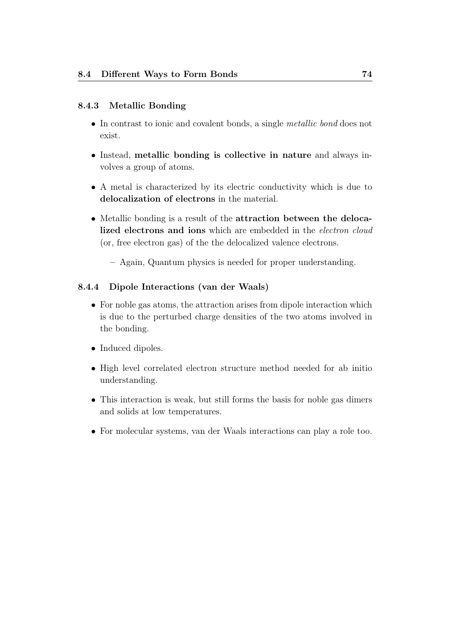## 8.4.3 Metallic Bonding

- In contrast to ionic and covalent bonds, a single *metallic bond* does not exist.
- Instead, metallic bonding is collective in nature and always involves a group of atoms.
- A metal is characterized by its electric conductivity which is due to delocalization of electrons in the material.
- Metallic bonding is a result of the attraction between the delocalized electrons and ions which are embedded in the electron cloud (or, free electron gas) of the the delocalized valence electrons.
	- Again, Quantum physics is needed for proper understanding.

### 8.4.4 Dipole Interactions (van der Waals)

- For noble gas atoms, the attraction arises from dipole interaction which is due to the perturbed charge densities of the two atoms involved in the bonding.
- Induced dipoles.
- High level correlated electron structure method needed for ab initio understanding.
- This interaction is weak, but still forms the basis for noble gas dimers and solids at low temperatures.
- For molecular systems, van der Waals interactions can play a role too.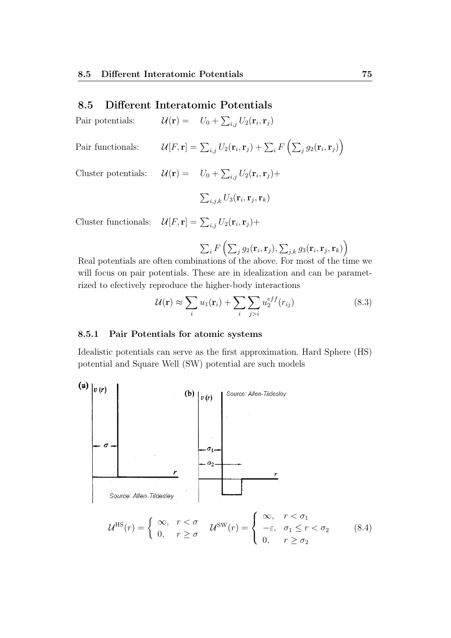## 8.5 Different Interatomic Potentials

Pair potentials:  $\mathcal{U}(\mathbf{r}) = U_0 + \sum_{i,j} U_2(\mathbf{r}_i, \mathbf{r}_j)$ 

Pair functionals: 
$$
\mathcal{U}[F,\mathbf{r}] = \sum_{i,j} U_2(\mathbf{r}_i,\mathbf{r}_j) + \sum_i F\left(\sum_j g_2(\mathbf{r}_i,\mathbf{r}_j)\right)
$$

Cluster potentials:  $\mathcal{U}(\mathbf{r}) = U_0 + \sum_{i,j} U_2(\mathbf{r}_i, \mathbf{r}_j) +$ 

$$
\sum_{i,j,k} U_3(\mathbf{r}_i, \mathbf{r}_j, \mathbf{r}_k)
$$

Cluster functionals:  $\mathcal{U}[F,\mathbf{r}] = \sum_{i,j} U_2(\mathbf{r}_i,\mathbf{r}_j) +$ 

$$
\sum_{i} F\left(\sum_{j} g_2(\mathbf{r}_i, \mathbf{r}_j), \sum_{j,k} g_3(\mathbf{r}_i, \mathbf{r}_j, \mathbf{r}_k)\right)
$$

Real potentials are often combinations of the above. For most of the time we will focus on pair potentials. These are in idealization and can be parametrized to efectively reproduce the higher-body interactions

$$
\mathcal{U}(\mathbf{r}) \approx \sum_{i} u_1(\mathbf{r}_i) + \sum_{i} \sum_{j>i} u_2^{eff}(r_{ij})
$$
\n(8.3)

#### 8.5.1 Pair Potentials for atomic systems

Idealistic potentials can serve as the first approximation. Hard Sphere (HS) potential and Square Well (SW) potential are such models

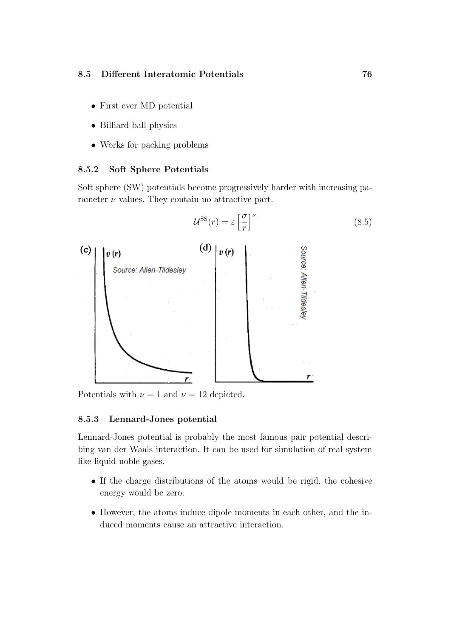- First ever MD potential
- Billiard-ball physics
- Works for packing problems

#### 8.5.2 Soft Sphere Potentials

Soft sphere (SW) potentials become progressively harder with increasing parameter  $\nu$  values. They contain no attractive part.

 $\mathcal{U}^{\text{SS}}(r) = \varepsilon \left[\frac{\sigma}{r}\right]$ 

 $\big]^\nu$ 



Potentials with  $\nu = 1$  and  $\nu = 12$  depicted.

### 8.5.3 Lennard-Jones potential

Lennard-Jones potential is probably the most famous pair potential describing van der Waals interaction. It can be used for simulation of real system like liquid noble gases.

- If the charge distributions of the atoms would be rigid, the cohesive energy would be zero.
- However, the atoms induce dipole moments in each other, and the induced moments cause an attractive interaction.

(8.5)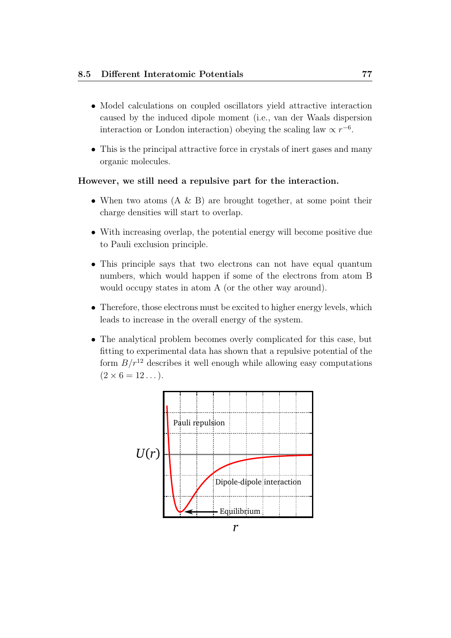- Model calculations on coupled oscillators yield attractive interaction caused by the induced dipole moment (i.e., van der Waals dispersion interaction or London interaction) obeying the scaling law  $\propto r^{-6}$ .
- This is the principal attractive force in crystals of inert gases and many organic molecules.

### However, we still need a repulsive part for the interaction.

- When two atoms  $(A \& B)$  are brought together, at some point their charge densities will start to overlap.
- With increasing overlap, the potential energy will become positive due to Pauli exclusion principle.
- This principle says that two electrons can not have equal quantum numbers, which would happen if some of the electrons from atom B would occupy states in atom A (or the other way around).
- Therefore, those electrons must be excited to higher energy levels, which leads to increase in the overall energy of the system.
- The analytical problem becomes overly complicated for this case, but fitting to experimental data has shown that a repulsive potential of the form  $B/r^{12}$  describes it well enough while allowing easy computations  $(2 \times 6 = 12 ...)$ .

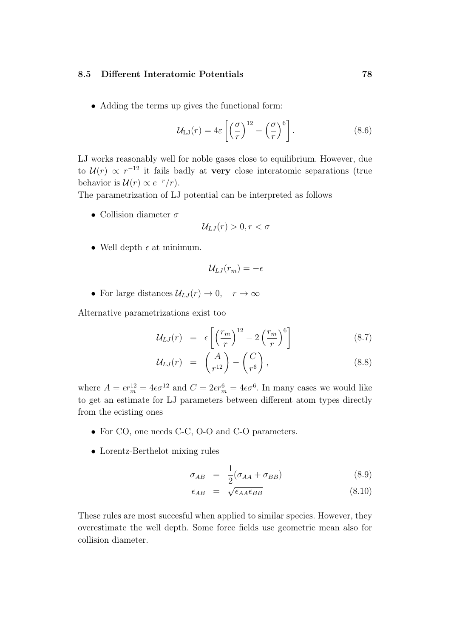• Adding the terms up gives the functional form:

$$
\mathcal{U}_{\text{LJ}}(r) = 4\varepsilon \left[ \left( \frac{\sigma}{r} \right)^{12} - \left( \frac{\sigma}{r} \right)^6 \right]. \tag{8.6}
$$

LJ works reasonably well for noble gases close to equilibrium. However, due to  $\mathcal{U}(r) \propto r^{-12}$  it fails badly at very close interatomic separations (true behavior is  $\mathcal{U}(r) \propto e^{-r}/r$ .

The parametrization of LJ potential can be interpreted as follows

• Collision diameter  $\sigma$ 

$$
\mathcal{U}_{LJ}(r) > 0, r < \sigma
$$

• Well depth  $\epsilon$  at minimum.

$$
\mathcal{U}_{LJ}(r_m) = -\epsilon
$$

• For large distances  $\mathcal{U}_{LJ}(r) \to 0$ ,  $r \to \infty$ 

Alternative parametrizations exist too

$$
\mathcal{U}_{LJ}(r) = \epsilon \left[ \left( \frac{r_m}{r} \right)^{12} - 2 \left( \frac{r_m}{r} \right)^6 \right] \tag{8.7}
$$

$$
\mathcal{U}_{LJ}(r) = \left(\frac{A}{r^{12}}\right) - \left(\frac{C}{r^6}\right),\tag{8.8}
$$

where  $A = \epsilon r_m^{12} = 4\epsilon \sigma^{12}$  and  $C = 2\epsilon r_m^6 = 4\epsilon \sigma^6$ . In many cases we would like to get an estimate for LJ parameters between different atom types directly from the ecisting ones

- For CO, one needs C-C, O-O and C-O parameters.
- Lorentz-Berthelot mixing rules

$$
\sigma_{AB} = \frac{1}{2} (\sigma_{AA} + \sigma_{BB}) \tag{8.9}
$$

$$
\epsilon_{AB} = \sqrt{\epsilon_{AA} \epsilon_{BB}} \tag{8.10}
$$

These rules are most succesful when applied to similar species. However, they overestimate the well depth. Some force fields use geometric mean also for collision diameter.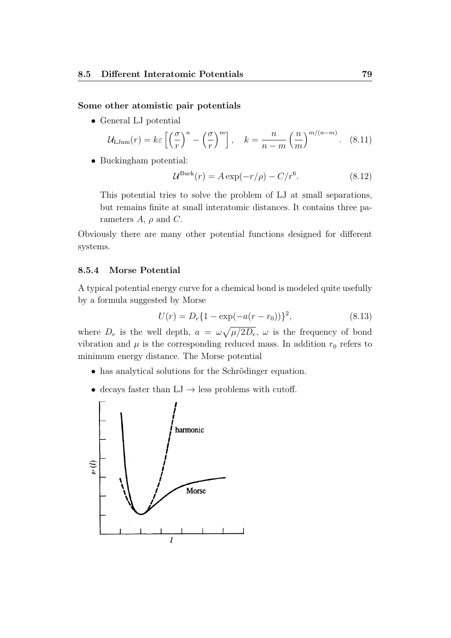#### Some other atomistic pair potentials

• General LJ potential

$$
\mathcal{U}_{\text{LJnm}}(r) = k\varepsilon \left[ \left( \frac{\sigma}{r} \right)^n - \left( \frac{\sigma}{r} \right)^m \right], \quad k = \frac{n}{n-m} \left( \frac{n}{m} \right)^{m/(n-m)}.
$$
 (8.11)

• Buckingham potential:

$$
\mathcal{U}^{\text{Buck}}(r) = A \exp(-r/\rho) - C/r^6. \tag{8.12}
$$

This potential tries to solve the problem of LJ at small separations, but remains finite at small interatomic distances. It contains three parameters  $A$ ,  $\rho$  and  $C$ .

Obviously there are many other potential functions designed for different systems.

#### 8.5.4 Morse Potential

A typical potential energy curve for a chemical bond is modeled quite usefully by a formula suggested by Morse

$$
U(r) = D_e \{ 1 - \exp(-a(r - r_0)) \}^2,
$$
\n(8.13)

where  $D_e$  is the well depth,  $a = \omega \sqrt{\mu/2D_e}$ ,  $\omega$  is the frequency of bond vibration and  $\mu$  is the corresponding reduced mass. In addition  $r_0$  refers to minimum energy distance. The Morse potential

- has analytical solutions for the Schrödinger equation.
- $\bullet\,$  decays faster than LJ  $\to$  less problems with cutoff.

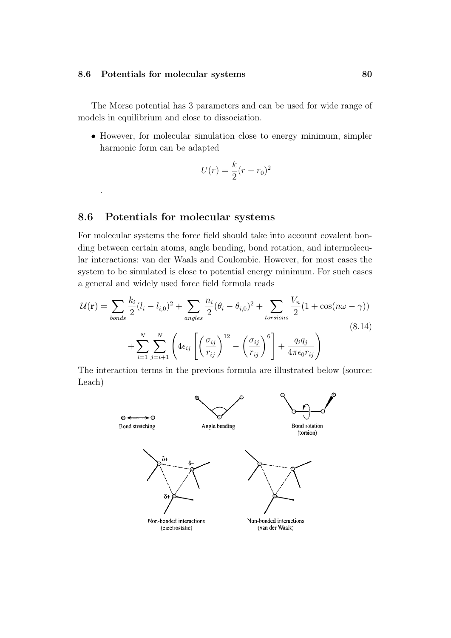The Morse potential has 3 parameters and can be used for wide range of models in equilibrium and close to dissociation.

• However, for molecular simulation close to energy minimum, simpler harmonic form can be adapted

$$
U(r) = \frac{k}{2}(r - r_0)^2
$$

# 8.6 Potentials for molecular systems

.

For molecular systems the force field should take into account covalent bonding between certain atoms, angle bending, bond rotation, and intermolecular interactions: van der Waals and Coulombic. However, for most cases the system to be simulated is close to potential energy minimum. For such cases a general and widely used force field formula reads

$$
\mathcal{U}(\mathbf{r}) = \sum_{bonds} \frac{k_i}{2} (l_i - l_{i,0})^2 + \sum_{angles} \frac{n_i}{2} (\theta_i - \theta_{i,0})^2 + \sum_{torsions} \frac{V_n}{2} (1 + \cos(n\omega - \gamma))
$$
\n
$$
+ \sum_{i=1}^N \sum_{j=i+1}^N \left( 4\epsilon_{ij} \left[ \left( \frac{\sigma_{ij}}{r_{ij}} \right)^{12} - \left( \frac{\sigma_{ij}}{r_{ij}} \right)^6 \right] + \frac{q_i q_j}{4\pi \epsilon_0 r_{ij}} \right)
$$
\n(8.14)

The interaction terms in the previous formula are illustrated below (source: Leach)

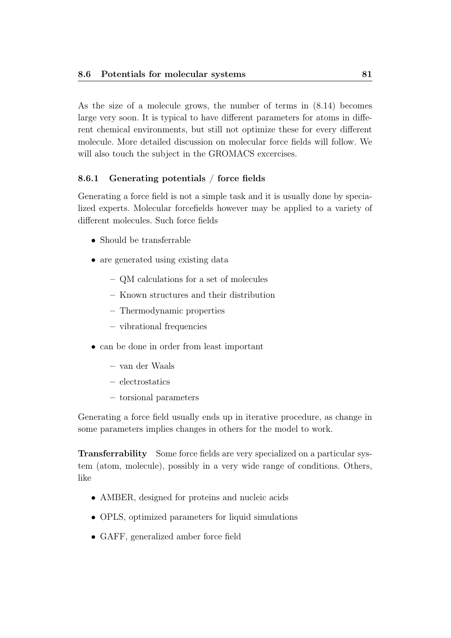As the size of a molecule grows, the number of terms in (8.14) becomes large very soon. It is typical to have different parameters for atoms in different chemical environments, but still not optimize these for every different molecule. More detailed discussion on molecular force fields will follow. We will also touch the subject in the GROMACS excercises.

# 8.6.1 Generating potentials / force fields

Generating a force field is not a simple task and it is usually done by specialized experts. Molecular forcefields however may be applied to a variety of different molecules. Such force fields

- Should be transferrable
- are generated using existing data
	- QM calculations for a set of molecules
	- Known structures and their distribution
	- Thermodynamic properties
	- vibrational frequencies
- can be done in order from least important
	- van der Waals
	- electrostatics
	- torsional parameters

Generating a force field usually ends up in iterative procedure, as change in some parameters implies changes in others for the model to work.

Transferrability Some force fields are very specialized on a particular system (atom, molecule), possibly in a very wide range of conditions. Others, like

- AMBER, designed for proteins and nucleic acids
- OPLS, optimized parameters for liquid simulations
- GAFF, generalized amber force field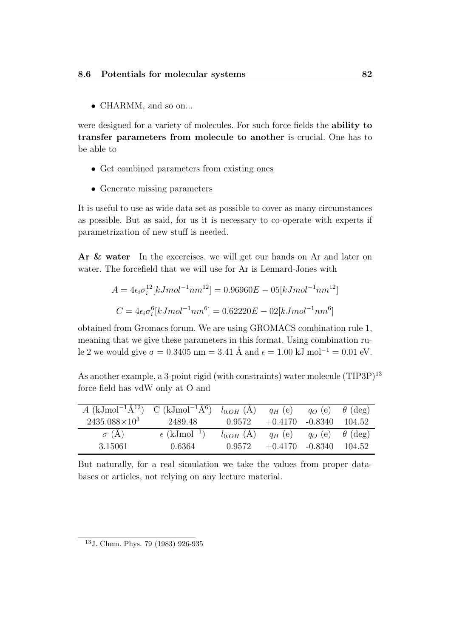• CHARMM, and so on...

were designed for a variety of molecules. For such force fields the ability to transfer parameters from molecule to another is crucial. One has to be able to

- Get combined parameters from existing ones
- Generate missing parameters

It is useful to use as wide data set as possible to cover as many circumstances as possible. But as said, for us it is necessary to co-operate with experts if parametrization of new stuff is needed.

Ar & water In the excercises, we will get our hands on Ar and later on water. The forcefield that we will use for Ar is Lennard-Jones with

$$
A = 4\epsilon_i \sigma_i^{12} [kJmol^{-1}nm^{12}] = 0.96960E - 05[kJmol^{-1}nm^{12}]
$$
  

$$
C = 4\epsilon_i \sigma_i^{6}[kJmol^{-1}nm^{6}] = 0.62220E - 02[kJmol^{-1}nm^{6}]
$$

obtained from Gromacs forum. We are using GROMACS combination rule 1, meaning that we give these parameters in this format. Using combination rule 2 we would give  $\sigma = 0.3405$  nm = 3.41 Å and  $\epsilon = 1.00$  kJ mol<sup>-1</sup> = 0.01 eV.

As another example, a 3-point rigid (with constraints) water molecule  $(TIP3P)^{13}$ force field has vdW only at O and

| A (kJmol <sup>-1</sup> Å <sup>12</sup> ) C (kJmol <sup>-1</sup> Å <sup>6</sup> ) $l_{0,OH}$ (Å) $q_H$ (e) $q_O$ (e) $\theta$ (deg) |                                   |                                                                     |                          |         |        |
|------------------------------------------------------------------------------------------------------------------------------------|-----------------------------------|---------------------------------------------------------------------|--------------------------|---------|--------|
| $2435.088\times10^3$                                                                                                               | 2489.48                           | 0.9572                                                              | $+0.4170$                | -0.8340 | 104.52 |
| $\sigma$ (A)                                                                                                                       | $\epsilon$ (kJmol <sup>-1</sup> ) | $l_{0,OH}(\text{Å})$ $q_H(\text{e})$ $q_O(\text{e})$ $\theta$ (deg) |                          |         |        |
| -3.15061                                                                                                                           | 0.6364                            | 0.9572                                                              | $+0.4170 -0.8340 104.52$ |         |        |

But naturally, for a real simulation we take the values from proper databases or articles, not relying on any lecture material.

<sup>13</sup>J. Chem. Phys. 79 (1983) 926-935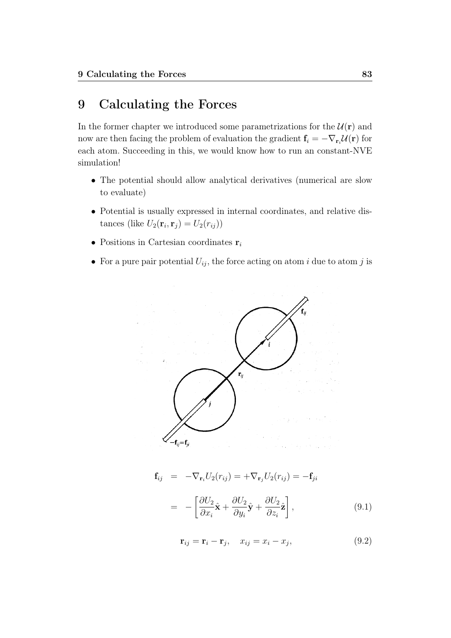# 9 Calculating the Forces

In the former chapter we introduced some parametrizations for the  $\mathcal{U}(\mathbf{r})$  and now are then facing the problem of evaluation the gradient  $\mathbf{f}_i = -\nabla_{\mathbf{r}_i} \mathcal{U}(\mathbf{r})$  for each atom. Succeeding in this, we would know how to run an constant-NVE simulation!

- The potential should allow analytical derivatives (numerical are slow to evaluate)
- Potential is usually expressed in internal coordinates, and relative distances (like  $U_2(\mathbf{r}_i, \mathbf{r}_j) = U_2(r_{ij})$ )
- Positions in Cartesian coordinates  $r_i$
- For a pure pair potential  $U_{ij}$ , the force acting on atom i due to atom j is



$$
\mathbf{f}_{ij} = -\nabla_{\mathbf{r}_i} U_2(r_{ij}) = +\nabla_{\mathbf{r}_j} U_2(r_{ij}) = -\mathbf{f}_{ji}
$$

$$
= -\left[\frac{\partial U_2}{\partial x_i}\hat{\mathbf{x}} + \frac{\partial U_2}{\partial y_i}\hat{\mathbf{y}} + \frac{\partial U_2}{\partial z_i}\hat{\mathbf{z}}\right],
$$
(9.1)

$$
\mathbf{r}_{ij} = \mathbf{r}_i - \mathbf{r}_j, \quad x_{ij} = x_i - x_j,\tag{9.2}
$$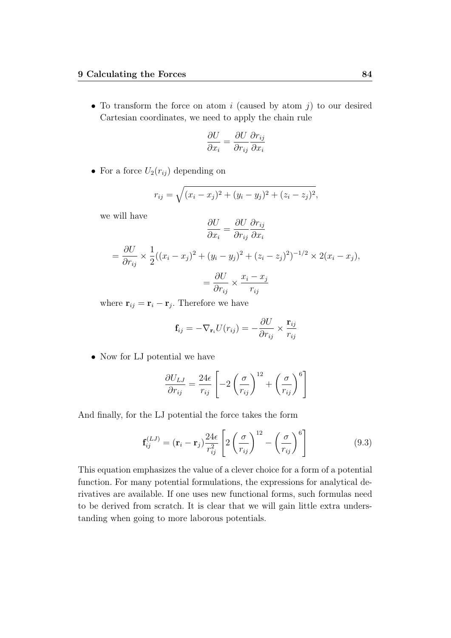• To transform the force on atom i (caused by atom  $j$ ) to our desired Cartesian coordinates, we need to apply the chain rule

$$
\frac{\partial U}{\partial x_i} = \frac{\partial U}{\partial r_{ij}} \frac{\partial r_{ij}}{\partial x_i}
$$

• For a force  $U_2(r_{ij})$  depending on

$$
r_{ij} = \sqrt{(x_i - x_j)^2 + (y_i - y_j)^2 + (z_i - z_j)^2},
$$

we will have

$$
\frac{\partial U}{\partial x_i} = \frac{\partial U}{\partial r_{ij}} \frac{\partial r_{ij}}{\partial x_i}
$$

$$
= \frac{\partial U}{\partial r_{ij}} \times \frac{1}{2} ((x_i - x_j)^2 + (y_i - y_j)^2 + (z_i - z_j)^2)^{-1/2} \times 2(x_i - x_j),
$$

$$
= \frac{\partial U}{\partial r_{ij}} \times \frac{x_i - x_j}{r_{ij}}
$$

where  $\mathbf{r}_{ij} = \mathbf{r}_i - \mathbf{r}_j$ . Therefore we have

$$
\mathbf{f}_{ij} = -\nabla_{\mathbf{r}_i} U(r_{ij}) = -\frac{\partial U}{\partial r_{ij}} \times \frac{\mathbf{r}_{ij}}{r_{ij}}
$$

• Now for LJ potential we have

$$
\frac{\partial U_{LJ}}{\partial r_{ij}} = \frac{24\epsilon}{r_{ij}} \left[ -2\left(\frac{\sigma}{r_{ij}}\right)^{12} + \left(\frac{\sigma}{r_{ij}}\right)^{6} \right]
$$

And finally, for the LJ potential the force takes the form

$$
\mathbf{f}_{ij}^{(LJ)} = (\mathbf{r}_i - \mathbf{r}_j) \frac{24\epsilon}{r_{ij}^2} \left[ 2\left(\frac{\sigma}{r_{ij}}\right)^{12} - \left(\frac{\sigma}{r_{ij}}\right)^6 \right]
$$
(9.3)

This equation emphasizes the value of a clever choice for a form of a potential function. For many potential formulations, the expressions for analytical derivatives are available. If one uses new functional forms, such formulas need to be derived from scratch. It is clear that we will gain little extra understanding when going to more laborous potentials.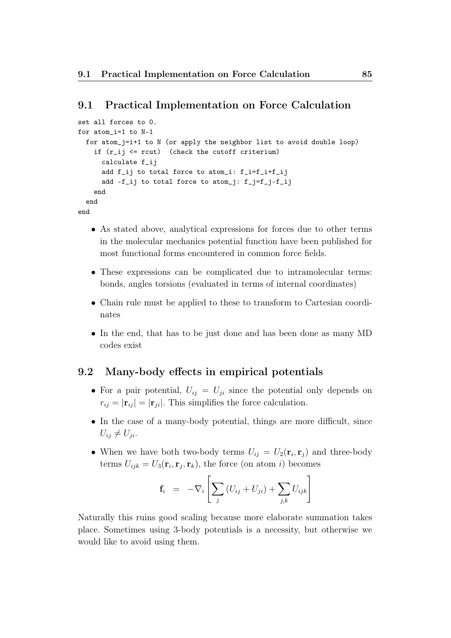### 9.1 Practical Implementation on Force Calculation

```
set all forces to 0.
for atom_i=1 to N-1
  for atom_j=i+1 to N (or apply the neighbor list to avoid double loop)
    if (r_i) \leq rcut) (check the cutoff criterium)
      calculate f_ij
      add f_ij to total force to atom_i: f_i=f_i+f_ij
      add -f_ij to total force to atom_j: f_j=f_j-f_ij
    end
  end
end
```
- As stated above, analytical expressions for forces due to other terms in the molecular mechanics potential function have been published for most functional forms encountered in common force fields.
- These expressions can be complicated due to intramolecular terms: bonds, angles torsions (evaluated in terms of internal coordinates)
- Chain rule must be applied to these to transform to Cartesian coordinates
- In the end, that has to be just done and has been done as many MD codes exist

## 9.2 Many-body effects in empirical potentials

- For a pair potential,  $U_{ij} = U_{ji}$  since the potential only depends on  $r_{ij} = |\mathbf{r}_{ij}| = |\mathbf{r}_{ji}|$ . This simplifies the force calculation.
- In the case of a many-body potential, things are more difficult, since  $U_{ij} \neq U_{ji}.$
- When we have both two-body terms  $U_{ij} = U_2(\mathbf{r}_i, \mathbf{r}_j)$  and three-body terms  $U_{ijk} = U_3(\mathbf{r}_i, \mathbf{r}_j, \mathbf{r}_k)$ , the force (on atom *i*) becomes

$$
\mathbf{f}_i = -\nabla_i \left[ \sum_j \left( U_{ij} + U_{ji} \right) + \sum_{j,k} U_{ijk} \right]
$$

Naturally this ruins good scaling because more elaborate summation takes place. Sometimes using 3-body potentials is a necessity, but otherwise we would like to avoid using them.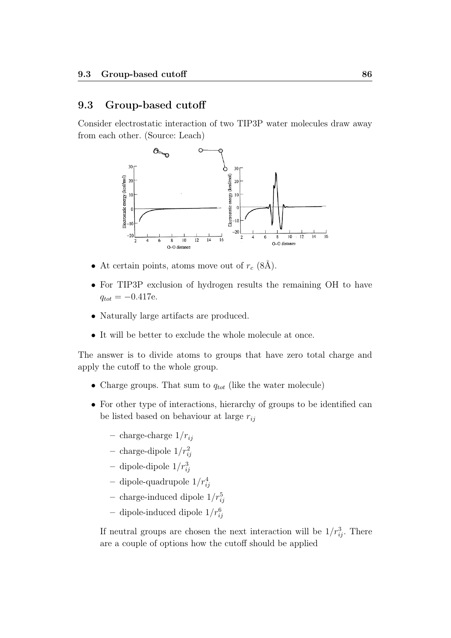# 9.3 Group-based cutoff

Consider electrostatic interaction of two TIP3P water molecules draw away from each other. (Source: Leach)



- At certain points, atoms move out of  $r_c$  (8Å).
- For TIP3P exclusion of hydrogen results the remaining OH to have  $q_{tot} = -0.417e$ .
- Naturally large artifacts are produced.
- It will be better to exclude the whole molecule at once.

The answer is to divide atoms to groups that have zero total charge and apply the cutoff to the whole group.

- Charge groups. That sum to  $q_{tot}$  (like the water molecule)
- For other type of interactions, hierarchy of groups to be identified can be listed based on behaviour at large  $r_{ij}$ 
	- charge-charge  $1/r_{ij}$
	- charge-dipole  $1/r_{ij}^2$
	- dipole-dipole  $1/r_{ij}^3$
	- dipole-quadrupole  $1/r_{ij}^4$
	- charge-induced dipole  $1/r_{ij}^5$
	- dipole-induced dipole  $1/r_{ij}^6$

If neutral groups are chosen the next interaction will be  $1/r_{ij}^3$ . There are a couple of options how the cutoff should be applied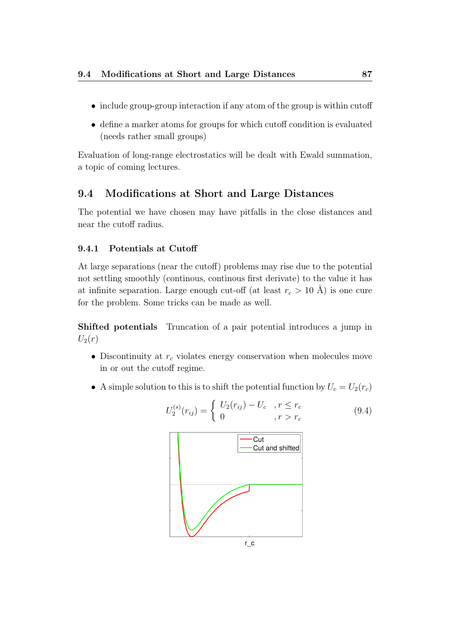- include group-group interaction if any atom of the group is within cutoff
- define a marker atoms for groups for which cutoff condition is evaluated (needs rather small groups)

Evaluation of long-range electrostatics will be dealt with Ewald summation, a topic of coming lectures.

# 9.4 Modifications at Short and Large Distances

The potential we have chosen may have pitfalls in the close distances and near the cutoff radius.

### 9.4.1 Potentials at Cutoff

At large separations (near the cutoff) problems may rise due to the potential not settling smoothly (continous, continous first derivate) to the value it has at infinite separation. Large enough cut-off (at least  $r_c > 10$  Å) is one cure for the problem. Some tricks can be made as well.

Shifted potentials Truncation of a pair potential introduces a jump in  $U_2(r)$ 

- Discontinuity at  $r_c$  violates energy conservation when molecules move in or out the cutoff regime.
- A simple solution to this is to shift the potential function by  $U_c = U_2(r_c)$



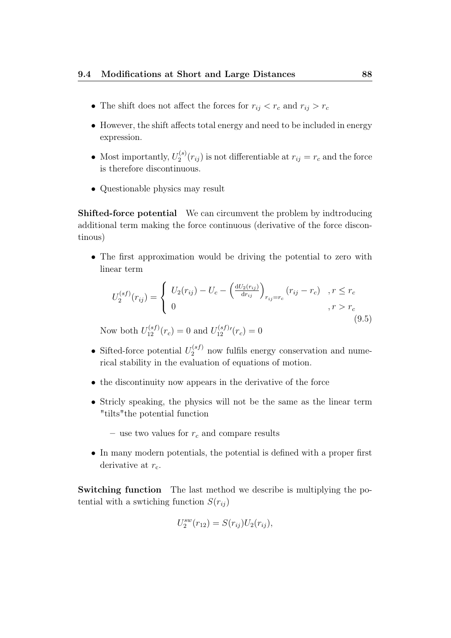- The shift does not affect the forces for  $r_{ij} < r_c$  and  $r_{ij} > r_c$
- However, the shift affects total energy and need to be included in energy expression.
- Most importantly,  $U_2^{(s)}$  $r_{ij}^{(s)}(r_{ij})$  is not differentiable at  $r_{ij} = r_c$  and the force is therefore discontinuous.
- Questionable physics may result

Shifted-force potential We can circumvent the problem by indtroducing additional term making the force continuous (derivative of the force discontinous)

• The first approximation would be driving the potential to zero with linear term

$$
U_2^{(sf)}(r_{ij}) = \begin{cases} U_2(r_{ij}) - U_c - \left(\frac{dU_2(r_{ij})}{dr_{ij}}\right)_{r_{ij}=r_c} (r_{ij} - r_c) & , r \le r_c \\ 0 & , r > r_c \end{cases}
$$
(9.5)

Now both  $U_{12}^{(sf)}(r_c) = 0$  and  $U_{12}^{(sf)}$  $t_{12}^{(sf)}(r_c) = 0$ 

- Sifted-force potential  $U_2^{(sf)}$  now fulfils energy conservation and numerical stability in the evaluation of equations of motion.
- the discontinuity now appears in the derivative of the force
- Stricly speaking, the physics will not be the same as the linear term "tilts"the potential function

– use two values for  $r_c$  and compare results

• In many modern potentials, the potential is defined with a proper first derivative at  $r_{\rm c}$ .

Switching function The last method we describe is multiplying the potential with a swtiching function  $S(r_{ii})$ 

$$
U_2^{sw}(r_{12}) = S(r_{ij})U_2(r_{ij}),
$$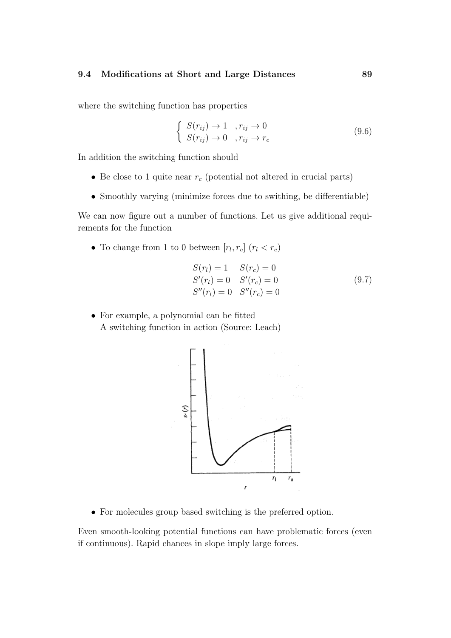where the switching function has properties

$$
\begin{cases}\nS(r_{ij}) \to 1, & r_{ij} \to 0 \\
S(r_{ij}) \to 0, & r_{ij} \to r_c\n\end{cases}
$$
\n(9.6)

In addition the switching function should

- Be close to 1 quite near  $r_c$  (potential not altered in crucial parts)
- Smoothly varying (minimize forces due to swithing, be differentiable)

We can now figure out a number of functions. Let us give additional requirements for the function

• To change from 1 to 0 between  $[r_l, r_c]$   $(r_l < r_c)$ 

$$
S(r_l) = 1 \t S(r_c) = 0\nS'(r_l) = 0 \t S'(r_c) = 0\nS''(r_l) = 0 \t S''(r_c) = 0
$$
\n(9.7)

• For example, a polynomial can be fitted A switching function in action (Source: Leach)



• For molecules group based switching is the preferred option.

Even smooth-looking potential functions can have problematic forces (even if continuous). Rapid chances in slope imply large forces.